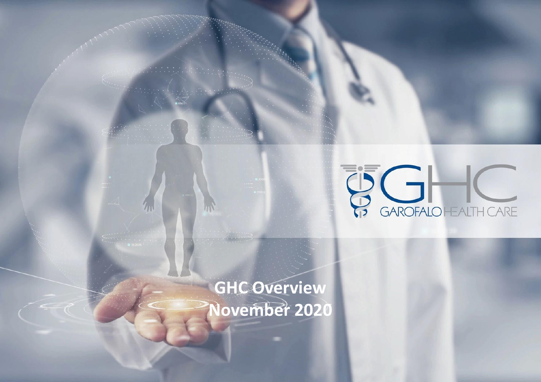

# **GHC Overview November 2020**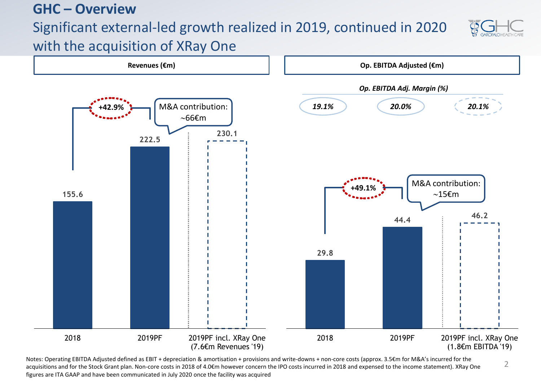### **GHC – Overview**

## Significant external-led growth realized in 2019, continued in 2020



2

with the acquisition of XRay One



Notes: Operating EBITDA Adjusted defined as EBIT + depreciation & amortisation + provisions and write-downs + non-core costs (approx. 3.5€m for M&A's incurred for the acquisitions and for the Stock Grant plan. Non-core costs in 2018 of 4.0€m however concern the IPO costs incurred in 2018 and expensed to the income statement). XRay One figures are ITA GAAP and have been communicated in July 2020 once the facility was acquired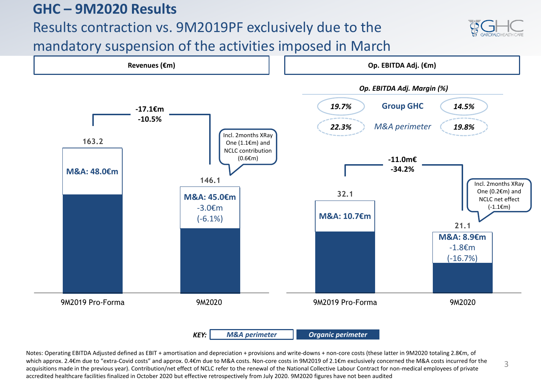### **GHC – 9M2020 Results**

Results contraction vs. 9M2019PF exclusively due to the



mandatory suspension of the activities imposed in March



Notes: Operating EBITDA Adjusted defined as EBIT + amortisation and depreciation + provisions and write-downs + non-core costs (these latter in 9M2020 totaling 2.8€m, of which approx. 2.4€m due to "extra-Covid costs" and approx. 0.4€m due to M&A costs. Non-core costs in 9M2019 of 2.1€m exclusively concerned the M&A costs incurred for the acquisitions made in the previous year). Contribution/net effect of NCLC refer to the renewal of the National Collective Labour Contract for non-medical employees of private accredited healthcare facilities finalized in October 2020 but effective retrospectively from July 2020. 9M2020 figures have not been audited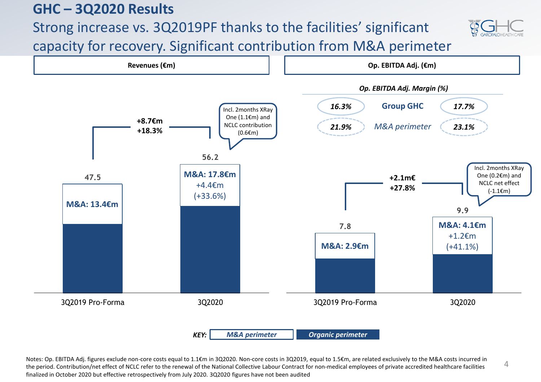### **GHC – 3Q2020 Results**

# Strong increase vs. 3Q2019PF thanks to the facilities' significant



4

capacity for recovery. Significant contribution from M&A perimeter



Notes: Op. EBITDA Adj. figures exclude non-core costs equal to 1.1€m in 3Q2020. Non-core costs in 3Q2019, equal to 1.5€m, are related exclusively to the M&A costs incurred in the period. Contribution/net effect of NCLC refer to the renewal of the National Collective Labour Contract for non-medical employees of private accredited healthcare facilities finalized in October 2020 but effective retrospectively from July 2020. 3Q2020 figures have not been audited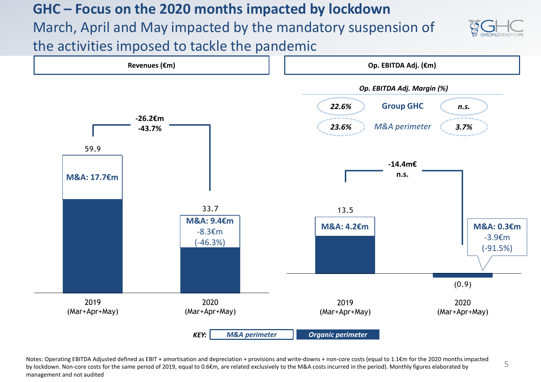## **GHC – Focus on the 2020 months impacted by lockdown** March, April and May impacted by the mandatory suspension of the activities imposed to tackle the pandemic





Notes: Operating EBITDA Adjusted defined as EBIT + amortisation and depreciation + provisions and write-downs + non-core costs (equal to 1.1€m for the 2020 months impacted by lockdown. Non-core costs for the same period of 2019, equal to 0.6€m, are related exclusively to the M&A costs incurred in the period). Monthly figures elaborated by management and not audited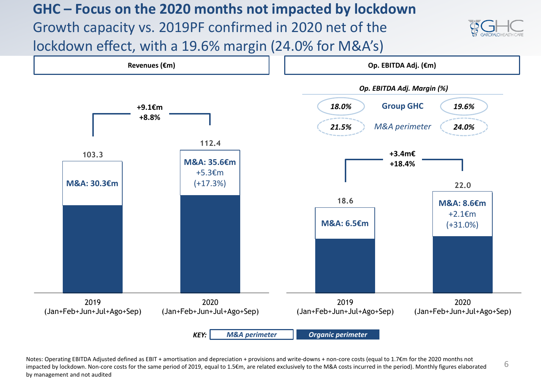## **GHC – Focus on the 2020 months not impacted by lockdown** Growth capacity vs. 2019PF confirmed in 2020 net of the lockdown effect, with a 19.6% margin (24.0% for M&A's)





6 Notes: Operating EBITDA Adjusted defined as EBIT + amortisation and depreciation + provisions and write-downs + non-core costs (equal to 1.7€m for the 2020 months not impacted by lockdown. Non-core costs for the same period of 2019, equal to 1.5€m, are related exclusively to the M&A costs incurred in the period). Monthly figures elaborated by management and not audited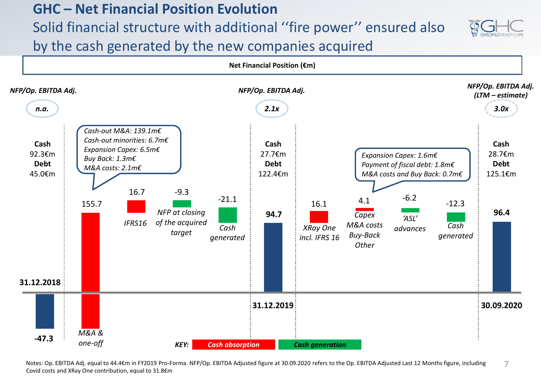#### **GHC – Net Financial Position Evolution**

Solid financial structure with additional ''fire power'' ensured also



by the cash generated by the new companies acquired



7 Notes: Op. EBITDA Adj. equal to 44.4€m in FY2019 Pro-Forma. NFP/Op. EBITDA Adjusted figure at 30.09.2020 refers to the Op. EBITDA Adjusted Last 12 Months figure, including Covid costs and XRay One contribution, equal to 31.8€m